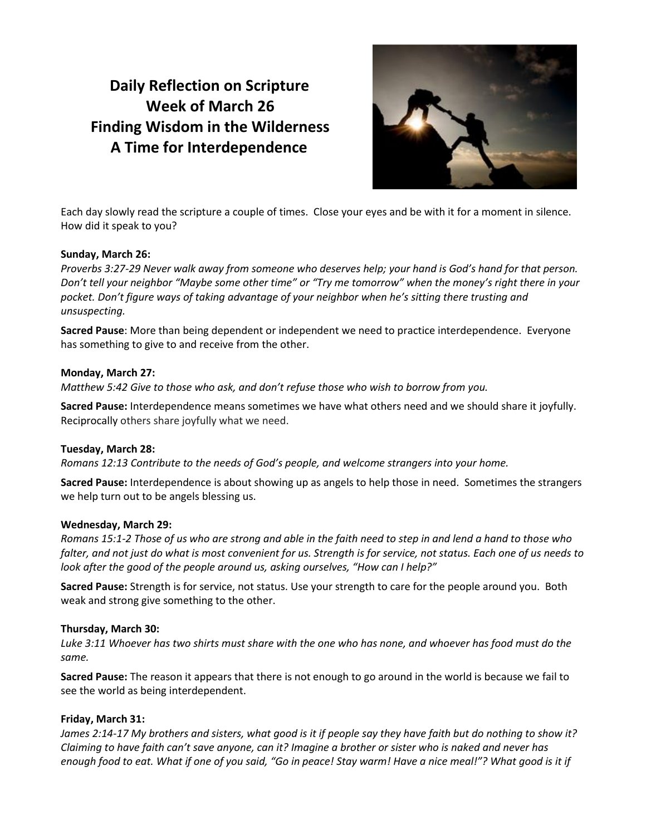# **Daily Reflection on Scripture Week of March 26 Finding Wisdom in the Wilderness A Time for Interdependence**



Each day slowly read the scripture a couple of times. Close your eyes and be with it for a moment in silence. How did it speak to you?

### **Sunday, March 26:**

*Proverbs 3:27-29 Never walk away from someone who deserves help; your hand is God's hand for that person. Don't tell your neighbor "Maybe some other time" or "Try me tomorrow" when the money's right there in your pocket. Don't figure ways of taking advantage of your neighbor when he's sitting there trusting and unsuspecting.*

**Sacred Pause**: More than being dependent or independent we need to practice interdependence. Everyone has something to give to and receive from the other.

#### **Monday, March 27:**

*Matthew 5:42 Give to those who ask, and don't refuse those who wish to borrow from you.*

**Sacred Pause:** Interdependence means sometimes we have what others need and we should share it joyfully. Reciprocally others share joyfully what we need.

#### **Tuesday, March 28:**

*Romans 12:13 Contribute to the needs of God's people, and welcome strangers into your home.*

**Sacred Pause:** Interdependence is about showing up as angels to help those in need. Sometimes the strangers we help turn out to be angels blessing us.

#### **Wednesday, March 29:**

*Romans 15:1-2 Those of us who are strong and able in the faith need to step in and lend a hand to those who falter, and not just do what is most convenient for us. Strength is for service, not status. Each one of us needs to look after the good of the people around us, asking ourselves, "How can I help?"*

**Sacred Pause:** Strength is for service, not status. Use your strength to care for the people around you. Both weak and strong give something to the other.

## **Thursday, March 30:**

*Luke 3:11 Whoever has two shirts must share with the one who has none, and whoever has food must do the same.*

**Sacred Pause:** The reason it appears that there is not enough to go around in the world is because we fail to see the world as being interdependent.

## **Friday, March 31:**

*James 2:14-17 My brothers and sisters, what good is it if people say they have faith but do nothing to show it? Claiming to have faith can't save anyone, can it? Imagine a brother or sister who is naked and never has enough food to eat. What if one of you said, "Go in peace! Stay warm! Have a nice meal!"? What good is it if*